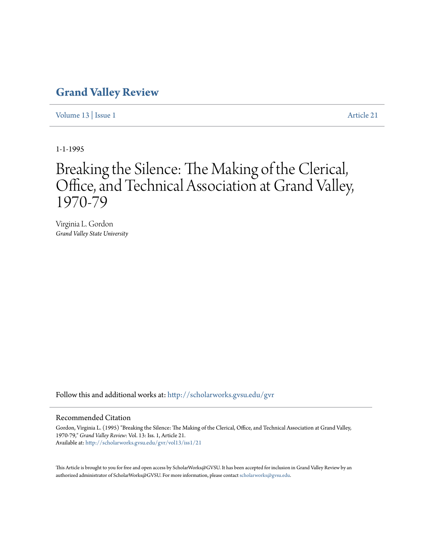## **[Grand Valley Review](http://scholarworks.gvsu.edu/gvr?utm_source=scholarworks.gvsu.edu%2Fgvr%2Fvol13%2Fiss1%2F21&utm_medium=PDF&utm_campaign=PDFCoverPages)**

[Volume 13](http://scholarworks.gvsu.edu/gvr/vol13?utm_source=scholarworks.gvsu.edu%2Fgvr%2Fvol13%2Fiss1%2F21&utm_medium=PDF&utm_campaign=PDFCoverPages) | [Issue 1](http://scholarworks.gvsu.edu/gvr/vol13/iss1?utm_source=scholarworks.gvsu.edu%2Fgvr%2Fvol13%2Fiss1%2F21&utm_medium=PDF&utm_campaign=PDFCoverPages) [Article 21](http://scholarworks.gvsu.edu/gvr/vol13/iss1/21?utm_source=scholarworks.gvsu.edu%2Fgvr%2Fvol13%2Fiss1%2F21&utm_medium=PDF&utm_campaign=PDFCoverPages)

1-1-1995

# Breaking the Silence: The Making of the Clerical, Office, and Technical Association at Grand Valley, 1970-79

Virginia L. Gordon *Grand Valley State University*

Follow this and additional works at: [http://scholarworks.gvsu.edu/gvr](http://scholarworks.gvsu.edu/gvr?utm_source=scholarworks.gvsu.edu%2Fgvr%2Fvol13%2Fiss1%2F21&utm_medium=PDF&utm_campaign=PDFCoverPages)

#### Recommended Citation

Gordon, Virginia L. (1995) "Breaking the Silence: The Making of the Clerical, Office, and Technical Association at Grand Valley, 1970-79," *Grand Valley Review*: Vol. 13: Iss. 1, Article 21. Available at: [http://scholarworks.gvsu.edu/gvr/vol13/iss1/21](http://scholarworks.gvsu.edu/gvr/vol13/iss1/21?utm_source=scholarworks.gvsu.edu%2Fgvr%2Fvol13%2Fiss1%2F21&utm_medium=PDF&utm_campaign=PDFCoverPages)

This Article is brought to you for free and open access by ScholarWorks@GVSU. It has been accepted for inclusion in Grand Valley Review by an authorized administrator of ScholarWorks@GVSU. For more information, please contact [scholarworks@gvsu.edu.](mailto:scholarworks@gvsu.edu)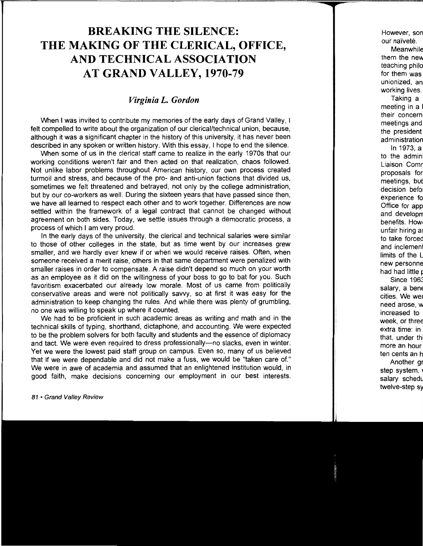## **BREAKING THE SILENCE: THE MAKING OF THE CLERICAL, OFFICE, AND TECHNICAL ASSOCIATION AT GRAND VALLEY, 1970-79**

### *Virginia L. Gordon*

When **1** was invited to contribute my memories of the early days of Grand Valley, I felt compelled to write about the organization of our clerical/technical union, because, although it was a significant chapter in the history of this university, it has never been described in any spoken or written history. With this essay, I hope to end the silence.

When some of us in the clerical staff came to realize in the early 1970s that our working conditions weren't fair and then acted on that realization, chaos followed. Not unlike labor problems throughout American history, our own process created turmoil and stress, and because of the pro- and anti-union factions that divided us, sometimes we felt threatened and betrayed, not only by the college administration, but by our co-workers as well. During the sixteen years that have passed since then, we have all learned to respect each other and to work together. Differences are now settled within the framework of a legal contract that cannot be changed without agreement on both sides. Today, we settle issues through a democratic process, a process of which I am very proud.

In the early days of the university, the clerical and technical salaries were similar to those of other colleges in the state, but as time went by our increases grew smaller, and we hardly ever knew if or when we would receive raises. Often, when someone received a merit raise, others in that same department were penalized with smaller raises in order to compensate. A raise didn't depend so much on your worth as an employee as it did on the willingness of your boss to go to bat for you. Such favoritism exacerbated our already low morale. Most of us came from politically conservative areas and were not politically savvy, so at first it was easy for the administration to keep changing the rules. And while there was plenty of grumbling, no one was willing to speak up where it counted.

We had to be proficient in such academic areas as writing and math and in the technical skills of typing, shorthand, dictaphone, and accounting. We were expected to be the problem solvers for both faculty and students and the essence of diplomacy and tact. We were even required to dress professionally-no slacks, even in winter. Yet we were the lowest paid staff group on campus. Even so, many of us believed that if we were dependable and did not make a fuss, we would be "taken care of." We were in awe of academia and assumed that an enlightened institution would, in good faith, make decisions concerning our employment in our best interests.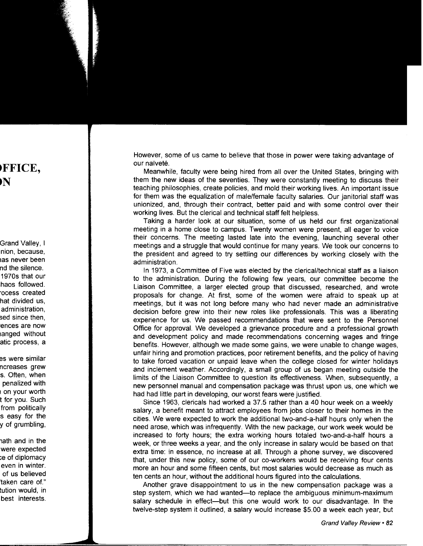However, some of us came to believe that those in power were taking·advantage of our naïveté.

Meanwhile, faculty were being hired from all over the United States, bringing with them the new ideas of the seventies. They were constantly meeting to discuss their teaching philosophies, create policies, and mold their working lives. An important issue for them was the equalization of male/female faculty salaries. Our janitorial staff was unionized, and, through their contract, better paid and with some control over their working lives. But the clerical and technical staff felt helpless.

Taking a harder look at our situation, some of us held our first organizational meeting in a home close to campus. Twenty women were present, all eager to voice their concerns. The meeting lasted late into the evening, launching several other meetings and a struggle that would continue for many years. We took our concerns to the president and agreed to try settling our differences by working closely with the administration.

In 1973, a Committee of Five was elected by the clerical/technical staff as a liaison to the administration. During the following few years, our committee become the Liaison Committee, a larger elected group that discussed, researched, and wrote proposals for change. At first, some of the women were afraid to speak up at meetings, but it was not long before many who had never made an administrative decision before grew into their new roles like professionals. This was a liberating experience for us. We passed recommendations that were sent to the Personnel Office for approval. We developed a grievance procedure and a professional growth and development policy and made recommendations concerning wages and fringe benefits. However, although we made some gains, we were unable to change wages, unfair hiring and promotion practices, poor retirement benefits, and the policy of having to take forced vacation or unpaid leave when the college closed for winter holidays and inclement weather. Accordingly, a small group of us began meeting outside the limits of the Liaison Committee to question its effectiveness. When, subsequently, a new personnel manual and compensation package was thrust upon us, one which we had had little part in developing, our worst fears were justified.

Since 1963, clericals had worked a 37.5 rather than a 40 hour week on a weekly salary, a benefit meant to attract employees from jobs closer to their homes in the cities. We were expected to work the additional two-and-a-half hours only when the need arose, which was infrequently. With the new package, our work week would be increased to forty hours; the extra working hours totaled two-and-a-half hours a week, or three weeks a year, and the only increase in salary would be based on that extra time: in essence, no increase at all. Through a phone survey, we discovered that, under this new policy, some of our co-workers would be receiving four cents more an hour and some fifteen cents, but most salaries would decrease as much as ten cents an hour, without the additional hours figured into the calculations.

Another grave disappointment to us in the new compensation package was a step system, which we had wanted-to replace the ambiguous minimum-maximum salary schedule in effect--but this one would work to our disadvantage. In the twelve-step system it outlined, a salary would increase \$5.00 a week each year, but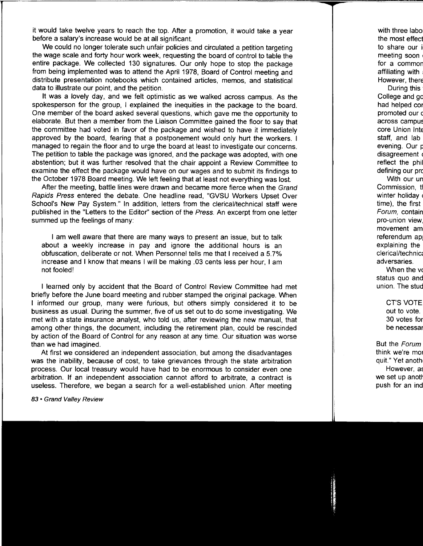it would take twelve years to reach the top. After a promotion, it would take a year before a salary's increase would be at all significant.

We could no longer tolerate such unfair policies and circulated a petition targeting the wage scale and forty hour work week, requesting the board of control to table the entire package. We collected 130 signatures. Our only hope to stop the package from being implemented was to attend the April 1978, Board of Control meeting and distribute presentation notebooks which contained articles, memos, and statistical data to illustrate our point, and the petition.

It was a lovely day, and we felt optimistic as we walked across campus. As the spokesperson for the group, I explained the inequities in the package to the board. One member of the board asked several questions, which gave me the opportunity to elaborate. But then a member from the Liaison Committee gained the floor to say that the committee had voted in favor of the package and wished to have it immediately approved by the board, fearing that a postponement would only hurt the workers. 1 managed to regain the floor and to urge the board at least to investigate our concerns. The petition to table the package was ignored, and the package was adopted, with one abstention; but it was further resolved that the chair appoint a Review Committee to examine the effect the package would have on our wages and to submit its findings to the October 1978 Board meeting. We left feeling that at least not everything was lost.

After the meeting, battle lines were drawn and became more fierce when the Grand Rapids Press entered the debate. One headline read, "GVSU Workers Upset Over School's New Pay System." In addition, letters from the clerical/technical staff were published in the "Letters to the Editor" section of the Press. An excerpt from one letter summed up the feelings of many:

I am well aware that there are many ways to present an issue, but to talk about a weekly increase in pay and ignore the additional hours is an obfuscation, deliberate or not. When Personnel tells me that I received a 5.7% increase and I know that means I will be making .03 cents less per hour, I am not fooled!

I learned only by accident that the Board of Control Review Committee had met briefly before the June board meeting and rubber stamped the original package. When I informed our group, many were furious, but others simply considered it to be business as usual. During the summer, five of us set out to do some investigating. We met with a state insurance analyst, who told us, after reviewing the new manual, that among other things, the document, including the retirement plan, could be rescinded by action of the Board of Control for any reason at any time. Our situation was worse than we had imagined.

At first we considered an independent association, but among the disadvantages was the inability, because of cost, to take grievances through the state arbitration process. Our local treasury would have had to be enormous to consider even one arbitration. If an independent association cannot afford to arbitrate, a contract is useless. Therefore, we began a search for a well-established union. After meeting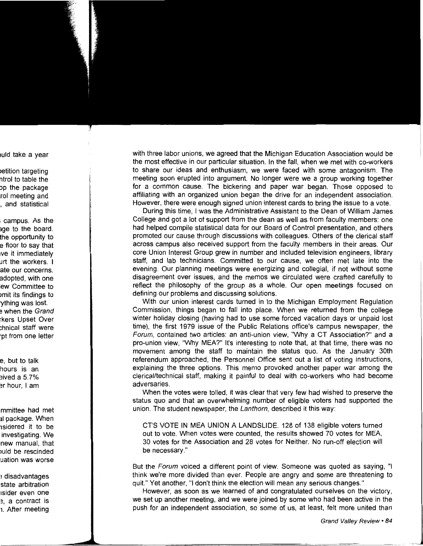with three labor unions, we agreed that the Michigan Education Association would be the most effective in our particular situation. In the fall, when we met with co-workers to share our ideas and enthusiasm, we were faced with some antagonism. The meeting soon erupted into argument. No longer were we a group working together for a common cause. The bickering and paper war began. Those opposed to affiliating with an organized union began the drive for an independent association. However, there were enough signed union interest cards to bring the issue to a vote.

During this time, I was the Administrative Assistant to the Dean of William James College and got a lot of support from the dean as well as from faculty members: one had helped compile statistical data for our Board of Control presentation, and others promoted our cause through discussions with colleagues. Others of the clerical staff across campus also received support from the faculty members in their areas. Our core Union Interest Group grew in number and included television engineers, library staff, and lab technicians. Committed to our cause, we often met late into the evening. Our planning meetings were energizing and collegial, if not without some disagreement over issues, and the memos we circulated were crafted carefully to reflect the philosophy of the group as a whole. Our open meetings focused on defining our problems and discussing solutions.

With our union interest cards turned in to the Michigan Employment Regulation Commission, things began to fall into place. When we returned from the college winter holiday closing (having had to use some forced vacation days or unpaid lost time), the first 1979 issue of the Public Relations office's campus newspaper, the Forum, contained two articles: an anti-union view, "Why a CT Association?" and a pro-union view, "Why MEA?" It's interesting to note that, at that time, there was no movement among the staff to maintain the status quo. As the January 30th referendum approached, the Personnel Office sent out a list of voting instructions, explaining the three options. This memo provoked another paper war among the clerical/technical staff, making it painful to deal with co-workers who had become adversaries.

When the votes were tolled, it was clear that very few had wished to preserve the status quo and that an overwhelming number of eligible voters had supported the union. The student newspaper, the Lanthorn, described it this way:

CT'S VOTE IN MEA UNION A LANDSLIDE. 128 of 138 eligible voters turned out to vote. When votes were counted, the results showed 70 votes for MEA, 30 votes for the Association and 28 votes for Neither. No run-off election will be necessary."

But the Forum voiced a different point of view. Someone was quoted as saying, "I think we're more divided than ever. People are angry and some are threatening to quit." Yet another, "I don't think the election will mean any serious changes."

However, as soon as we learned of and congratulated ourselves on the victory, we set up another meeting, and we were joined by some who had been active in the push for an independent association, so some of us, at least, felt more united than